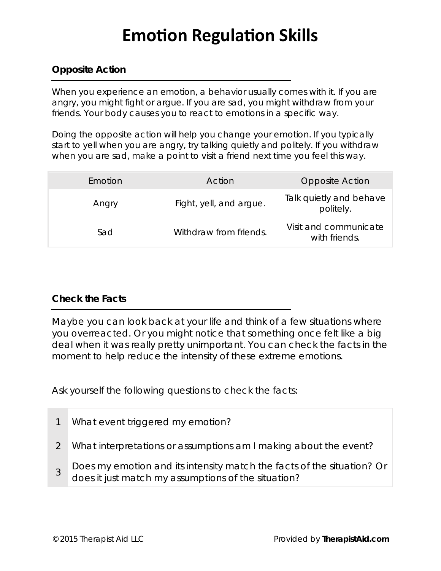# **Emotion Regulation Skills**

## **Opposite Action**

When you experience an emotion, a behavior usually comes with it. If you are angry, you might fight or argue. If you are sad, you might withdraw from your friends. Your body causes you to react to emotions in a specific way.

Doing the *opposite action* will help you change your emotion. If you typically start to yell when you are angry, try talking quietly and politely. If you withdraw when you are sad, make a point to visit a friend next time you feel this way.

| Emotion | Action                  | Opposite Action                        |
|---------|-------------------------|----------------------------------------|
| Angry   | Fight, yell, and argue. | Talk quietly and behave<br>politely.   |
| Sad     | Withdraw from friends.  | Visit and communicate<br>with friends. |

### **Check the Facts**

Maybe you can look back at your life and think of a few situations where you overreacted. Or you might notice that something once felt like a big deal when it was really pretty unimportant. You can *check the facts* in the moment to help reduce the intensity of these extreme emotions.

Ask yourself the following questions to check the facts:

- 1 What event triggered my emotion?
- <sup>3</sup>Does my emotion and its intensity match the *facts* of the situation? Or

2 What interpretations or assumptions am I making about the event?

does it just match my assumptions of the situation?